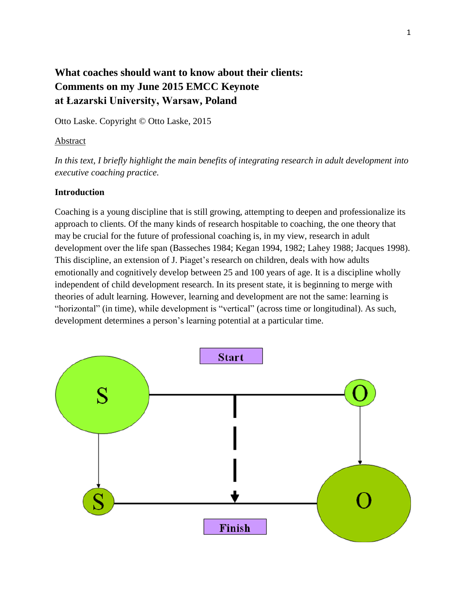# **What coaches should want to know about their clients: Comments on my June 2015 EMCC Keynote at Łazarski University, Warsaw, Poland**

Otto Laske. Copyright © Otto Laske, 2015

#### Abstract

*In this text, I briefly highlight the main benefits of integrating research in adult development into executive coaching practice.*

### **Introduction**

Coaching is a young discipline that is still growing, attempting to deepen and professionalize its approach to clients. Of the many kinds of research hospitable to coaching, the one theory that may be crucial for the future of professional coaching is, in my view, research in adult development over the life span (Basseches 1984; Kegan 1994, 1982; Lahey 1988; Jacques 1998). This discipline, an extension of J. Piaget's research on children, deals with how adults emotionally and cognitively develop between 25 and 100 years of age. It is a discipline wholly independent of child development research. In its present state, it is beginning to merge with theories of adult learning. However, learning and development are not the same: learning is "horizontal" (in time), while development is "vertical" (across time or longitudinal). As such, development determines a person's learning potential at a particular time.

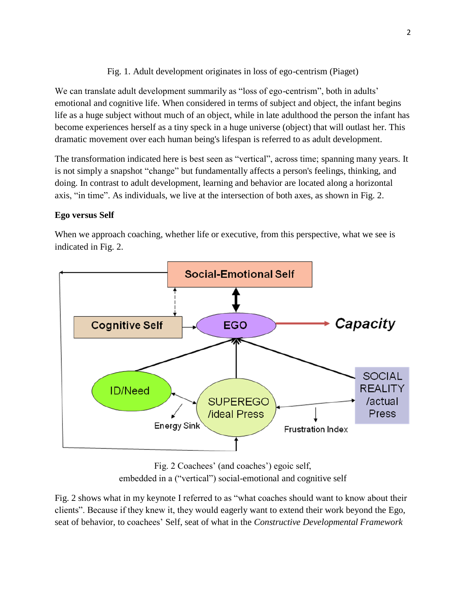# Fig. 1. Adult development originates in loss of ego-centrism (Piaget)

We can translate adult development summarily as "loss of ego-centrism", both in adults' emotional and cognitive life. When considered in terms of subject and object, the infant begins life as a huge subject without much of an object, while in late adulthood the person the infant has become experiences herself as a tiny speck in a huge universe (object) that will outlast her. This dramatic movement over each human being's lifespan is referred to as adult development.

The transformation indicated here is best seen as "vertical", across time; spanning many years. It is not simply a snapshot "change" but fundamentally affects a person's feelings, thinking, and doing. In contrast to adult development, learning and behavior are located along a horizontal axis, "in time". As individuals, we live at the intersection of both axes, as shown in Fig. 2.

## **Ego versus Self**

When we approach coaching, whether life or executive, from this perspective, what we see is indicated in Fig. 2.



Fig. 2 Coachees' (and coaches') egoic self, embedded in a ("vertical") social-emotional and cognitive self

Fig. 2 shows what in my keynote I referred to as "what coaches should want to know about their clients". Because if they knew it, they would eagerly want to extend their work beyond the Ego, seat of behavior, to coachees' Self, seat of what in the *Constructive Developmental Framework*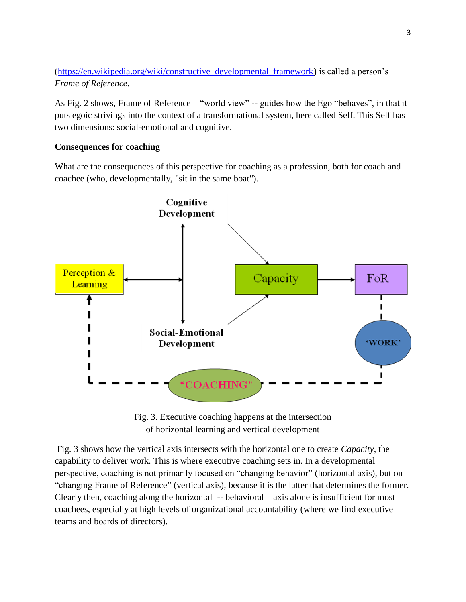[\(https://en.wikipedia.org/wiki/constructive\\_developmental\\_framework\)](https://en.wikipedia.org/wiki/constructive_developmental_framework) is called a person's *Frame of Reference*.

As Fig. 2 shows, Frame of Reference – "world view" -- guides how the Ego "behaves", in that it puts egoic strivings into the context of a transformational system, here called Self. This Self has two dimensions: social-emotional and cognitive.

### **Consequences for coaching**

What are the consequences of this perspective for coaching as a profession, both for coach and coachee (who, developmentally, "sit in the same boat").



Fig. 3. Executive coaching happens at the intersection of horizontal learning and vertical development

Fig. 3 shows how the vertical axis intersects with the horizontal one to create *Capacity*, the capability to deliver work. This is where executive coaching sets in. In a developmental perspective, coaching is not primarily focused on "changing behavior" (horizontal axis), but on "changing Frame of Reference" (vertical axis), because it is the latter that determines the former. Clearly then, coaching along the horizontal -- behavioral – axis alone is insufficient for most coachees, especially at high levels of organizational accountability (where we find executive teams and boards of directors).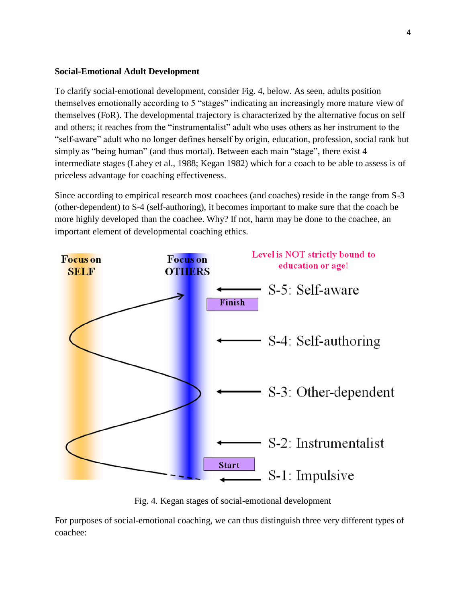### **Social-Emotional Adult Development**

To clarify social-emotional development, consider Fig. 4, below. As seen, adults position themselves emotionally according to 5 "stages" indicating an increasingly more mature view of themselves (FoR). The developmental trajectory is characterized by the alternative focus on self and others; it reaches from the "instrumentalist" adult who uses others as her instrument to the "self-aware" adult who no longer defines herself by origin, education, profession, social rank but simply as "being human" (and thus mortal). Between each main "stage", there exist 4 intermediate stages (Lahey et al., 1988; Kegan 1982) which for a coach to be able to assess is of priceless advantage for coaching effectiveness.

Since according to empirical research most coachees (and coaches) reside in the range from S-3 (other-dependent) to S-4 (self-authoring), it becomes important to make sure that the coach be more highly developed than the coachee. Why? If not, harm may be done to the coachee, an important element of developmental coaching ethics.



Fig. 4. Kegan stages of social-emotional development

For purposes of social-emotional coaching, we can thus distinguish three very different types of coachee: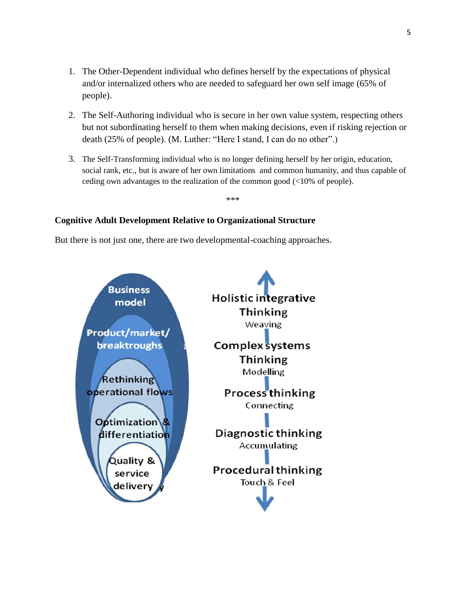- 1. The Other-Dependent individual who defines herself by the expectations of physical and/or internalized others who are needed to safeguard her own self image (65% of people).
- 2. The Self-Authoring individual who is secure in her own value system, respecting others but not subordinating herself to them when making decisions, even if risking rejection or death (25% of people). (M. Luther: "Here I stand, I can do no other".)
- 3. The Self-Transforming individual who is no longer defining herself by her origin, education, social rank, etc., but is aware of her own limitations and common humanity, and thus capable of ceding own advantages to the realization of the common good (<10% of people).

\*\*\*

# **Cognitive Adult Development Relative to Organizational Structure**

But there is not just one, there are two developmental-coaching approaches.

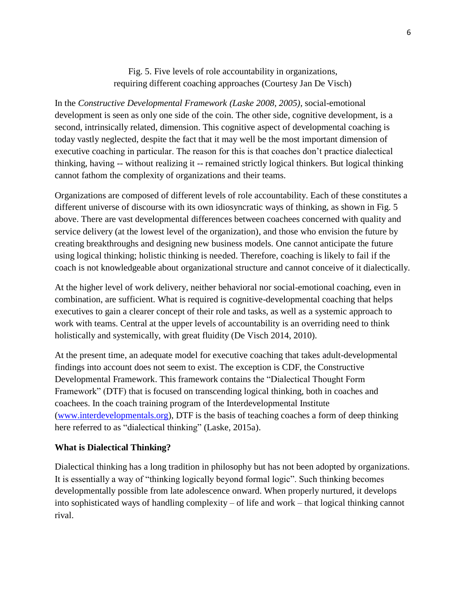Fig. 5. Five levels of role accountability in organizations, requiring different coaching approaches (Courtesy Jan De Visch)

In the *Constructive Developmental Framework (Laske 2008, 2005)*, social-emotional development is seen as only one side of the coin. The other side, cognitive development, is a second, intrinsically related, dimension. This cognitive aspect of developmental coaching is today vastly neglected, despite the fact that it may well be the most important dimension of executive coaching in particular. The reason for this is that coaches don't practice dialectical thinking, having -- without realizing it -- remained strictly logical thinkers. But logical thinking cannot fathom the complexity of organizations and their teams.

Organizations are composed of different levels of role accountability. Each of these constitutes a different universe of discourse with its own idiosyncratic ways of thinking, as shown in Fig. 5 above. There are vast developmental differences between coachees concerned with quality and service delivery (at the lowest level of the organization), and those who envision the future by creating breakthroughs and designing new business models. One cannot anticipate the future using logical thinking; holistic thinking is needed. Therefore, coaching is likely to fail if the coach is not knowledgeable about organizational structure and cannot conceive of it dialectically.

At the higher level of work delivery, neither behavioral nor social-emotional coaching, even in combination, are sufficient. What is required is cognitive-developmental coaching that helps executives to gain a clearer concept of their role and tasks, as well as a systemic approach to work with teams. Central at the upper levels of accountability is an overriding need to think holistically and systemically, with great fluidity (De Visch 2014, 2010).

At the present time, an adequate model for executive coaching that takes adult-developmental findings into account does not seem to exist. The exception is CDF, the Constructive Developmental Framework. This framework contains the "Dialectical Thought Form Framework" (DTF) that is focused on transcending logical thinking, both in coaches and coachees. In the coach training program of the Interdevelopmental Institute [\(www.interdevelopmentals.org\)](http://www.interdevelopmentals.org/), DTF is the basis of teaching coaches a form of deep thinking here referred to as "dialectical thinking" (Laske, 2015a).

#### **What is Dialectical Thinking?**

Dialectical thinking has a long tradition in philosophy but has not been adopted by organizations. It is essentially a way of "thinking logically beyond formal logic". Such thinking becomes developmentally possible from late adolescence onward. When properly nurtured, it develops into sophisticated ways of handling complexity – of life and work – that logical thinking cannot rival.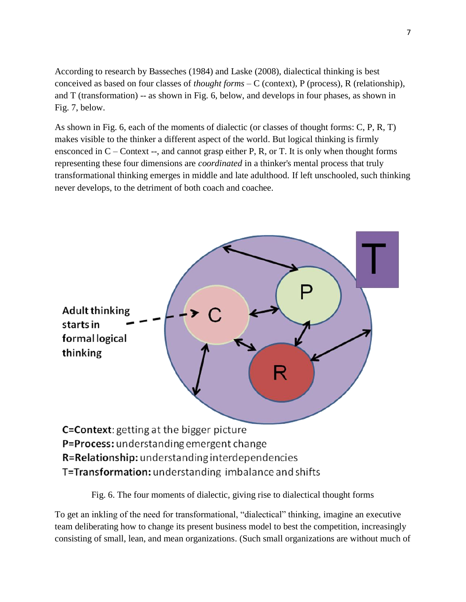According to research by Basseches (1984) and Laske (2008), dialectical thinking is best conceived as based on four classes of *thought forms* – C (context), P (process), R (relationship), and T (transformation) -- as shown in Fig. 6, below, and develops in four phases, as shown in Fig. 7, below.

As shown in Fig. 6, each of the moments of dialectic (or classes of thought forms: C, P, R, T) makes visible to the thinker a different aspect of the world. But logical thinking is firmly ensconced in  $C$  – Context --, and cannot grasp either P, R, or T. It is only when thought forms representing these four dimensions are *coordinated* in a thinker's mental process that truly transformational thinking emerges in middle and late adulthood. If left unschooled, such thinking never develops, to the detriment of both coach and coachee.



Fig. 6. The four moments of dialectic, giving rise to dialectical thought forms

To get an inkling of the need for transformational, "dialectical" thinking, imagine an executive team deliberating how to change its present business model to best the competition, increasingly consisting of small, lean, and mean organizations. (Such small organizations are without much of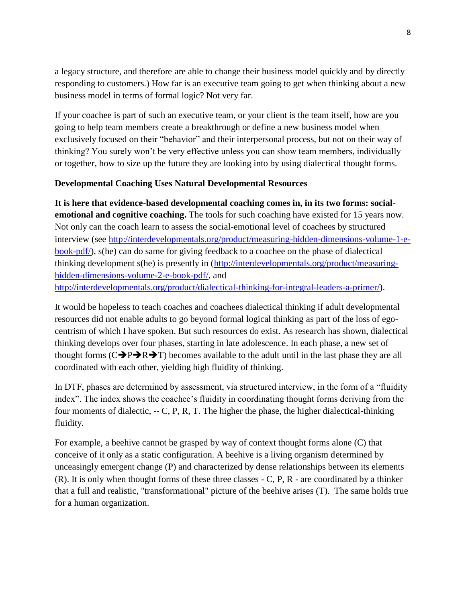a legacy structure, and therefore are able to change their business model quickly and by directly responding to customers.) How far is an executive team going to get when thinking about a new business model in terms of formal logic? Not very far.

If your coachee is part of such an executive team, or your client is the team itself, how are you going to help team members create a breakthrough or define a new business model when exclusively focused on their "behavior" and their interpersonal process, but not on their way of thinking? You surely won't be very effective unless you can show team members, individually or together, how to size up the future they are looking into by using dialectical thought forms.

## **Developmental Coaching Uses Natural Developmental Resources**

**It is here that evidence-based developmental coaching comes in, in its two forms: socialemotional and cognitive coaching.** The tools for such coaching have existed for 15 years now. Not only can the coach learn to assess the social-emotional level of coachees by structured interview (see [http://interdevelopmentals.org/product/measuring-hidden-dimensions-volume-1-e](http://interdevelopmentals.org/product/measuring-hidden-dimensions-volume-1-e-book-pdf/)[book-pdf/\)](http://interdevelopmentals.org/product/measuring-hidden-dimensions-volume-1-e-book-pdf/), s(he) can do same for giving feedback to a coachee on the phase of dialectical thinking development s(he) is presently in [\(http://interdevelopmentals.org/product/measuring](http://interdevelopmentals.org/product/measuring-hidden-dimensions-volume-2-e-book-pdf/)[hidden-dimensions-volume-2-e-book-pdf/,](http://interdevelopmentals.org/product/measuring-hidden-dimensions-volume-2-e-book-pdf/) and [http://interdevelopmentals.org/product/dialectical-thinking-for-integral-leaders-a-primer/\)](http://interdevelopmentals.org/product/dialectical-thinking-for-integral-leaders-a-primer/).

It would be hopeless to teach coaches and coachees dialectical thinking if adult developmental resources did not enable adults to go beyond formal logical thinking as part of the loss of egocentrism of which I have spoken. But such resources do exist. As research has shown, dialectical thinking develops over four phases, starting in late adolescence. In each phase, a new set of thought forms  $(C\rightarrow P\rightarrow R\rightarrow T)$  becomes available to the adult until in the last phase they are all coordinated with each other, yielding high fluidity of thinking.

In DTF, phases are determined by assessment, via structured interview, in the form of a "fluidity index". The index shows the coachee's fluidity in coordinating thought forms deriving from the four moments of dialectic,  $-$  C, P, R, T. The higher the phase, the higher dialectical-thinking fluidity.

For example, a beehive cannot be grasped by way of context thought forms alone (C) that conceive of it only as a static configuration. A beehive is a living organism determined by unceasingly emergent change (P) and characterized by dense relationships between its elements (R). It is only when thought forms of these three classes - C, P, R - are coordinated by a thinker that a full and realistic, "transformational" picture of the beehive arises (T). The same holds true for a human organization.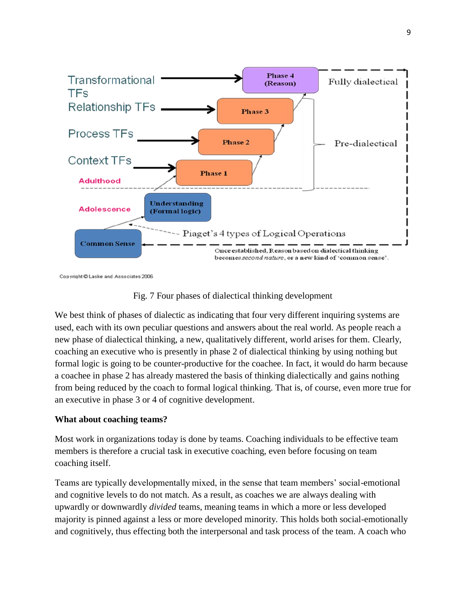

Copyright @ Laske and Associates 2006



We best think of phases of dialectic as indicating that four very different inquiring systems are used, each with its own peculiar questions and answers about the real world. As people reach a new phase of dialectical thinking, a new, qualitatively different, world arises for them. Clearly, coaching an executive who is presently in phase 2 of dialectical thinking by using nothing but formal logic is going to be counter-productive for the coachee. In fact, it would do harm because a coachee in phase 2 has already mastered the basis of thinking dialectically and gains nothing from being reduced by the coach to formal logical thinking. That is, of course, even more true for an executive in phase 3 or 4 of cognitive development.

### **What about coaching teams?**

Most work in organizations today is done by teams. Coaching individuals to be effective team members is therefore a crucial task in executive coaching, even before focusing on team coaching itself.

Teams are typically developmentally mixed, in the sense that team members' social-emotional and cognitive levels to do not match. As a result, as coaches we are always dealing with upwardly or downwardly *divided* teams, meaning teams in which a more or less developed majority is pinned against a less or more developed minority. This holds both social-emotionally and cognitively, thus effecting both the interpersonal and task process of the team. A coach who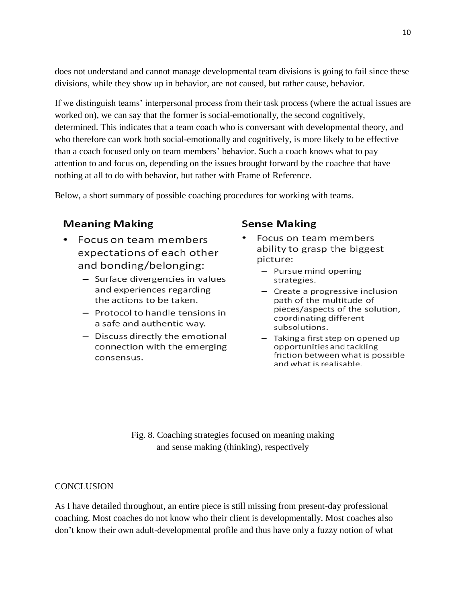does not understand and cannot manage developmental team divisions is going to fail since these divisions, while they show up in behavior, are not caused, but rather cause, behavior.

If we distinguish teams' interpersonal process from their task process (where the actual issues are worked on), we can say that the former is social-emotionally, the second cognitively, determined. This indicates that a team coach who is conversant with developmental theory, and who therefore can work both social-emotionally and cognitively, is more likely to be effective than a coach focused only on team members' behavior. Such a coach knows what to pay attention to and focus on, depending on the issues brought forward by the coachee that have nothing at all to do with behavior, but rather with Frame of Reference.

Below, a short summary of possible coaching procedures for working with teams.

# **Meaning Making**

- Focus on team members expectations of each other and bonding/belonging:
	- Surface divergencies in values and experiences regarding the actions to be taken.
	- Protocol to handle tensions in a safe and authentic way.
	- Discuss directly the emotional connection with the emerging consensus.

# **Sense Making**

- Focus on team members ability to grasp the biggest picture:
	- Pursue mind opening strategies.
	- Create a progressive inclusion path of the multitude of pieces/aspects of the solution, coordinating different subsolutions.
	- Taking a first step on opened up opportunities and tackling friction between what is possible and what is realisable.

Fig. 8. Coaching strategies focused on meaning making and sense making (thinking), respectively

### **CONCLUSION**

As I have detailed throughout, an entire piece is still missing from present-day professional coaching. Most coaches do not know who their client is developmentally. Most coaches also don't know their own adult-developmental profile and thus have only a fuzzy notion of what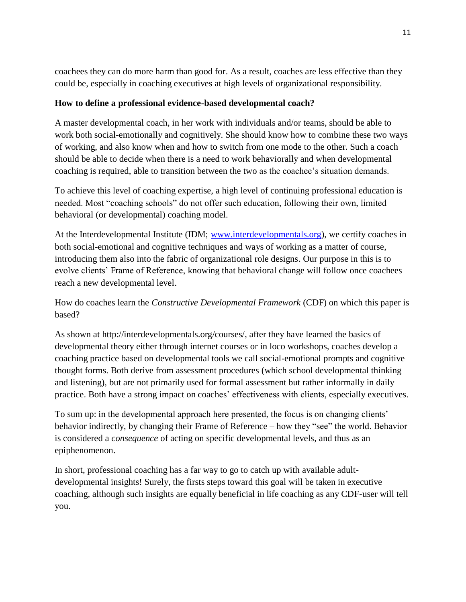coachees they can do more harm than good for. As a result, coaches are less effective than they could be, especially in coaching executives at high levels of organizational responsibility.

## **How to define a professional evidence-based developmental coach?**

A master developmental coach, in her work with individuals and/or teams, should be able to work both social-emotionally and cognitively. She should know how to combine these two ways of working, and also know when and how to switch from one mode to the other. Such a coach should be able to decide when there is a need to work behaviorally and when developmental coaching is required, able to transition between the two as the coachee's situation demands.

To achieve this level of coaching expertise, a high level of continuing professional education is needed. Most "coaching schools" do not offer such education, following their own, limited behavioral (or developmental) coaching model.

At the Interdevelopmental Institute (IDM; [www.interdevelopmentals.org\)](http://www.interdevelopmentals.org/), we certify coaches in both social-emotional and cognitive techniques and ways of working as a matter of course, introducing them also into the fabric of organizational role designs. Our purpose in this is to evolve clients' Frame of Reference, knowing that behavioral change will follow once coachees reach a new developmental level.

How do coaches learn the *Constructive Developmental Framework* (CDF) on which this paper is based?

As shown at http://interdevelopmentals.org/courses/, after they have learned the basics of developmental theory either through internet courses or in loco workshops, coaches develop a coaching practice based on developmental tools we call social-emotional prompts and cognitive thought forms. Both derive from assessment procedures (which school developmental thinking and listening), but are not primarily used for formal assessment but rather informally in daily practice. Both have a strong impact on coaches' effectiveness with clients, especially executives.

To sum up: in the developmental approach here presented, the focus is on changing clients' behavior indirectly, by changing their Frame of Reference – how they "see" the world. Behavior is considered a *consequence* of acting on specific developmental levels, and thus as an epiphenomenon.

In short, professional coaching has a far way to go to catch up with available adultdevelopmental insights! Surely, the firsts steps toward this goal will be taken in executive coaching, although such insights are equally beneficial in life coaching as any CDF-user will tell you.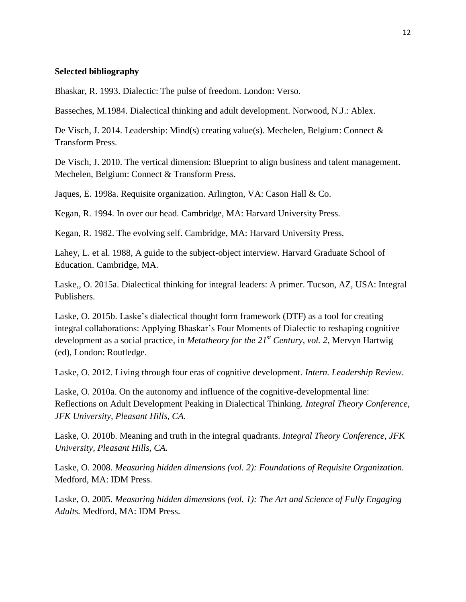#### **Selected bibliography**

Bhaskar, R. 1993. Dialectic: The pulse of freedom. London: Verso.

Basseches, M.1984. Dialectical thinking and adult development. Norwood, N.J.: Ablex.

De Visch, J. 2014. Leadership: Mind(s) creating value(s). Mechelen, Belgium: Connect & Transform Press.

De Visch, J. 2010. The vertical dimension: Blueprint to align business and talent management. Mechelen, Belgium: Connect & Transform Press.

Jaques, E. 1998a. Requisite organization. Arlington, VA: Cason Hall & Co.

Kegan, R. 1994. In over our head. Cambridge, MA: Harvard University Press.

Kegan, R. 1982. The evolving self. Cambridge, MA: Harvard University Press.

Lahey, L. et al. 1988, A guide to the subject-object interview. Harvard Graduate School of Education. Cambridge, MA.

Laske,, O. 2015a. Dialectical thinking for integral leaders: A primer. Tucson, AZ, USA: Integral Publishers.

Laske, O. 2015b. Laske's dialectical thought form framework (DTF) as a tool for creating integral collaborations: Applying Bhaskar's Four Moments of Dialectic to reshaping cognitive development as a social practice, in *Metatheory for the 21st Century, vol. 2*, Mervyn Hartwig (ed), London: Routledge.

Laske, O. 2012. Living through four eras of cognitive development. *Intern. Leadership Review*.

Laske, O. 2010a. On the autonomy and influence of the cognitive-developmental line: Reflections on Adult Development Peaking in Dialectical Thinking. *Integral Theory Conference, JFK University, Pleasant Hills, CA.*

Laske, O. 2010b. Meaning and truth in the integral quadrants. *Integral Theory Conference, JFK University, Pleasant Hills, CA.*

Laske, O. 2008. *Measuring hidden dimensions (vol. 2): Foundations of Requisite Organization.* Medford, MA: IDM Press.

Laske, O. 2005. *Measuring hidden dimensions (vol. 1): The Art and Science of Fully Engaging Adults.* Medford, MA: IDM Press.